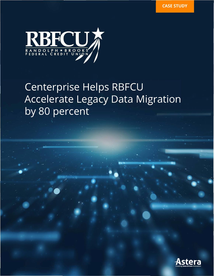**CASE STUDY** 



# Centerprise Helps RBFCU **Accelerate Legacy Data Migration** by 80 percent

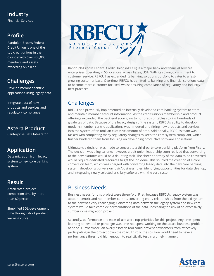#### **Industry**

Financial Services

# **Profile**

Randolph-Brooks Federal Credit Union is one of the top credit unions in the country with over 400,000 members and assets exceeding \$5 billion.

## **Challenges**

Develop member-centric applications using legacy data

Integrate data of new products and services and regulatory compliance

#### **Astera Product**

Centerprise Data Integrator

## **Application**

Data migration from legacy system to new core banking system

# **Result**

Accelerated project completion time by more than 80 percent.

Simplified SQL development time through short product learning curve



Randolph-Brooks Federal Credit Union (RBFCU) is a major bank and financial services enterprises operating in 55 locations across Texas, USA. With its strong commitment to customer service, RBFCU has expanded its banking solutions portfolio to cater to a fastgrowing customer base. Overtime, RBFCU has shifted its banking and financial solutions data to become more customer-focused, whilst ensuring compliance of regulatory and industry best practices.

## Challenges

RBFCU had previously implemented an internally-developed core banking system to store and maintain member account information. As the credit union's membership and product offerings expanded, the back end soon grew to hundreds of tables storing hundreds of gigabytes of data. Because of the legacy design of the system, RBFCU's ability to develop modern, member-centric applications was hindered and fitting new products and services into the system often took an excessive amount of time. Additionally, RBFCU's team was tasked with completing many regulatory changes to keep the core system compliant, which further hindered them from focusing on developing productive software applications.

Ultimately, a decision was made to convert to a third-party core banking platform from Fiserv. The decision was a logical one; however, credit union leadership soon realized that converting to the new platform would be a daunting task. The sheer enormity of the data to be converted would require dedicated resources to get the job done. This spurred the creation of a core conversion team, which was charged with converting legacy data into the new core banking system, developing conversion logic/business rules, identifying opportunities for data cleanup, and integrating newly selected ancillary software with the core system.

#### Business Needs

Business needs for this project were three-fold. First, because RBFCU's legacy system was account-centric and not member-centric, converting entity relationships from the old system to the new was very challenging. Converting data between the legacy system and new core system would take complex normalizations of the data, increasing the risk of an excessively cumbersome migration project.

Secondly, performance and ease-of-use were top priorities for this project. Any time spent learning a new tool or paradigm was time not spent working on the actual business problem at hand. Furthermore, an overly esoteric tool could prevent newcomers from effectively participating in the project down the road. Thirdly, the solution would need to have a performance threshold high enough to realistically test in a timely manner.